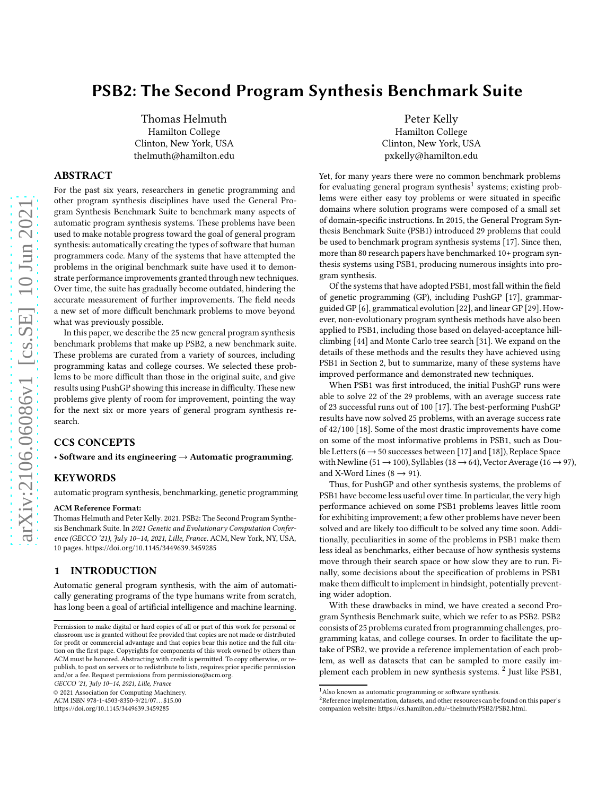# PSB2: The Second Program Synthesis Benchmark Suite

Thomas Helmuth Hamilton College Clinton, New York, USA thelmuth@hamilton.edu

# ABSTRACT

For the past six years, researchers in genetic programming and other program synthesis disciplines have used the General Program Synthesis Benchmark Suite to benchmark many aspects of automatic program synthesis systems. These problems have been used to make notable progress toward the goal of general program synthesis: automatically creating the types of software that human programmers code. Many of the systems that have attempted the problems in the original benchmark suite have used it to demonstrate performance improvements granted through new techniques. Over time, the suite has gradually become outdated, hindering the accurate measurement of further improvements. The field needs a new set of more difficult benchmark problems to move beyond what was previously possible.

In this paper, we describe the 25 new general program synthesis benchmark problems that make up PSB2, a new benchmark suite. These problems are curated from a variety of sources, including programming katas and college courses. We selected these problems to be more difficult than those in the original suite, and give results using PushGP showing this increase in difficulty. These new problems give plenty of room for improvement, pointing the way for the next six or more years of general program synthesis research.

# CCS CONCEPTS

• Software and its engineering  $\rightarrow$  Automatic programming.

# **KEYWORDS**

automatic program synthesis, benchmarking, genetic programming

#### ACM Reference Format:

Thomas Helmuth and Peter Kelly. 2021. PSB2: The Second Program Synthesis Benchmark Suite. In 2021 Genetic and Evolutionary Computation Conference (GECCO '21), July 10-14, 2021, Lille, France. ACM, New York, NY, USA, [10](#page-9-0) pages. https://doi.org/10.[1145/3449639](https://doi.org/10.1145/3449639.3459285).3459285

# 1 INTRODUCTION

Automatic general program synthesis, with the aim of automatically generating programs of the type humans write from scratch, has long been a goal of artificial intelligence and machine learning.

GECCO '21, July 10–14, 2021, Lille, France

© 2021 Association for Computing Machinery. ACM ISBN 978-1-4503-8350-9/21/07. . . \$15.00

https://doi.org/10.[1145/3449639](https://doi.org/10.1145/3449639.3459285).3459285

Peter Kelly Hamilton College Clinton, New York, USA pxkelly@hamilton.edu

Yet, for many years there were no common benchmark problems for evaluating general program synthesis<sup>[1](#page-0-0)</sup> systems; existing problems were either easy toy problems or were situated in specific domains where solution programs were composed of a small set of domain-specific instructions. In 2015, the General Program Synthesis Benchmark Suite (PSB1) introduced 29 problems that could be used to benchmark program synthesis systems [\[17](#page-8-0)]. Since then, more than 80 research papers have benchmarked 10+ program synthesis systems using PSB1, producing numerous insights into program synthesis.

Of the systems that have adopted PSB1, most fall within the field of genetic programming (GP), including PushGP [\[17\]](#page-8-0), grammarguided GP [\[6](#page-8-1)], grammatical evolution [\[22\]](#page-8-2), and linear GP [\[29\]](#page-8-3). However, non-evolutionary program synthesis methods have also been applied to PSB1, including those based on delayed-acceptance hillclimbing [44] and Monte Carlo tree search [\[31\]](#page-8-4). We expand on the details of these methods and the results they have achieved using PSB1 in Section [2,](#page-1-0) but to summarize, many of these systems have improved performance and demonstrated new techniques.

When PSB1 was first introduced, the initial PushGP runs were able to solve 22 of the 29 problems, with an average success rate of 23 successful runs out of 100 [\[17\]](#page-8-0). The best-performing PushGP results have now solved 25 problems, with an average success rate of 42/100 [\[18\]](#page-8-5). Some of the most drastic improvements have come on some of the most informative problems in PSB1, such as Double Letters ( $6 \rightarrow 50$  successes between [\[17\]](#page-8-0) and [\[18](#page-8-5)]), Replace Space with Newline (51  $\rightarrow$  100), Syllables (18  $\rightarrow$  64), Vector Average (16  $\rightarrow$  97), and X-Word Lines (8  $\rightarrow$  91).

Thus, for PushGP and other synthesis systems, the problems of PSB1 have become less useful over time. In particular, the very high performance achieved on some PSB1 problems leaves little room for exhibiting improvement; a few other problems have never been solved and are likely too difficult to be solved any time soon. Additionally, peculiarities in some of the problems in PSB1 make them less ideal as benchmarks, either because of how synthesis systems move through their search space or how slow they are to run. Finally, some decisions about the specification of problems in PSB1 make them difficult to implement in hindsight, potentially preventing wider adoption.

With these drawbacks in mind, we have created a second Program Synthesis Benchmark suite, which we refer to as PSB2. PSB2 consists of 25 problems curated from programming challenges, programming katas, and college courses. In order to facilitate the uptake of PSB2, we provide a reference implementation of each problem, as well as datasets that can be sampled to more easily im-plement each problem in new synthesis systems. <sup>[2](#page-0-1)</sup> Just like PSB1,

Permission to make digital or hard copies of all or part of this work for personal or classroom use is granted without fee provided that copies are not made or distributed for profit or commercial advantage and that copies bear this notice and the full citation on the first page. Copyrights for components of this work owned by others than ACM must be honored. Abstracting with credit is permitted. To copy otherwise, or republish, to post on servers or to redistribute to lists, requires prior specific permission and/or a fee. Request permissions from permissions@acm.org.

 $^{\rm 1}$  Also known as automatic programming or software synthesis.

<span id="page-0-1"></span><span id="page-0-0"></span><sup>&</sup>lt;sup>2</sup>Reference implementation, datasets, and other resources can be found on this paper's companion website: https://cs.hamilton.[edu/~thelmuth/PSB2/PSB2](https://cs.hamilton.edu/~thelmuth/PSB2/PSB2.html).html.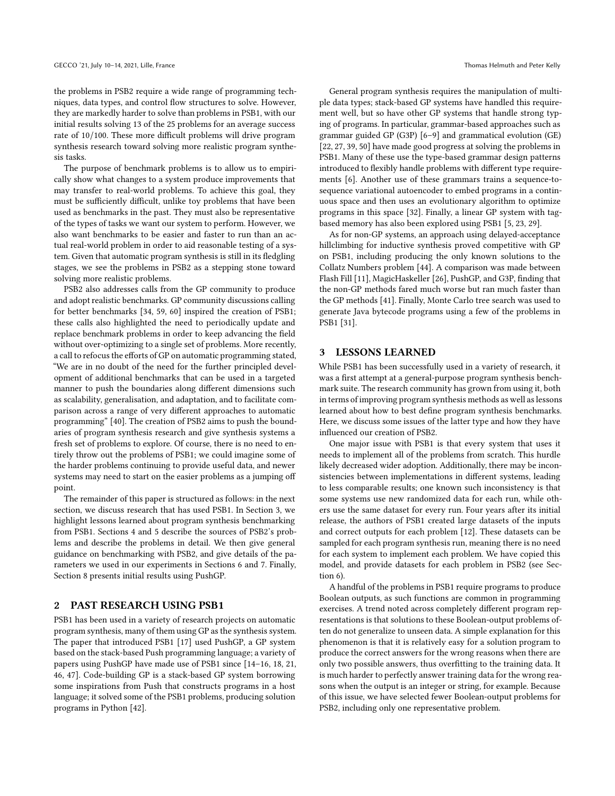the problems in PSB2 require a wide range of programming techniques, data types, and control flow structures to solve. However, they are markedly harder to solve than problems in PSB1, with our initial results solving 13 of the 25 problems for an average success rate of 10/100. These more difficult problems will drive program synthesis research toward solving more realistic program synthesis tasks.

The purpose of benchmark problems is to allow us to empirically show what changes to a system produce improvements that may transfer to real-world problems. To achieve this goal, they must be sufficiently difficult, unlike toy problems that have been used as benchmarks in the past. They must also be representative of the types of tasks we want our system to perform. However, we also want benchmarks to be easier and faster to run than an actual real-world problem in order to aid reasonable testing of a system. Given that automatic program synthesis is still in its fledgling stages, we see the problems in PSB2 as a stepping stone toward solving more realistic problems.

PSB2 also addresses calls from the GP community to produce and adopt realistic benchmarks. GP community discussions calling for better benchmarks [\[34,](#page-8-6) [59](#page-9-1), [60](#page-9-2)] inspired the creation of PSB1; these calls also highlighted the need to periodically update and replace benchmark problems in order to keep advancing the field without over-optimizing to a single set of problems. More recently, a call to refocus the efforts of GP on automatic programming stated, "We are in no doubt of the need for the further principled development of additional benchmarks that can be used in a targeted manner to push the boundaries along different dimensions such as scalability, generalisation, and adaptation, and to facilitate comparison across a range of very different approaches to automatic programming" [\[40](#page-9-3)]. The creation of PSB2 aims to push the boundaries of program synthesis research and give synthesis systems a fresh set of problems to explore. Of course, there is no need to entirely throw out the problems of PSB1; we could imagine some of the harder problems continuing to provide useful data, and newer systems may need to start on the easier problems as a jumping off point.

The remainder of this paper is structured as follows: in the next section, we discuss research that has used PSB1. In Section [3,](#page-1-1) we highlight lessons learned about program synthesis benchmarking from PSB1. Sections [4](#page-2-0) and [5](#page-2-1) describe the sources of PSB2's problems and describe the problems in detail. We then give general guidance on benchmarking with PSB2, and give details of the parameters we used in our experiments in Sections [6](#page-4-0) and [7.](#page-5-0) Finally, Section [8](#page-6-0) presents initial results using PushGP.

# <span id="page-1-0"></span>2 PAST RESEARCH USING PSB1

PSB1 has been used in a variety of research projects on automatic program synthesis, many of them using GP as the synthesis system. The paper that introduced PSB1 [\[17\]](#page-8-0) used PushGP, a GP system based on the stack-based Push programming language; a variety of papers using PushGP have made use of PSB1 since [\[14](#page-8-7)[–16,](#page-8-8) [18](#page-8-5), [21](#page-8-9), [46,](#page-9-4) [47](#page-9-5)]. Code-building GP is a stack-based GP system borrowing some inspirations from Push that constructs programs in a host language; it solved some of the PSB1 problems, producing solution programs in Python [\[42\]](#page-9-6).

General program synthesis requires the manipulation of multiple data types; stack-based GP systems have handled this requirement well, but so have other GP systems that handle strong typing of programs. In particular, grammar-based approaches such as grammar guided GP (G3P) [\[6](#page-8-1)[–9\]](#page-8-10) and grammatical evolution (GE) [\[22,](#page-8-2) [27,](#page-8-11) [39,](#page-8-12) [50\]](#page-9-7) have made good progress at solving the problems in PSB1. Many of these use the type-based grammar design patterns introduced to flexibly handle problems with different type requirements [\[6\]](#page-8-1). Another use of these grammars trains a sequence-tosequence variational autoencoder to embed programs in a continuous space and then uses an evolutionary algorithm to optimize programs in this space [\[32](#page-8-13)]. Finally, a linear GP system with tagbased memory has also been explored using PSB1 [\[5,](#page-8-14) [23](#page-8-15), [29\]](#page-8-3).

As for non-GP systems, an approach using delayed-acceptance hillclimbing for inductive synthesis proved competitive with GP on PSB1, including producing the only known solutions to the Collatz Numbers problem [44]. A comparison was made between Flash Fill [\[11](#page-8-16)], MagicHaskeller [\[26\]](#page-8-17), PushGP, and G3P, finding that the non-GP methods fared much worse but ran much faster than the GP methods [\[41\]](#page-9-8). Finally, Monte Carlo tree search was used to generate Java bytecode programs using a few of the problems in PSB1 [\[31\]](#page-8-4).

# <span id="page-1-1"></span>3 LESSONS LEARNED

While PSB1 has been successfully used in a variety of research, it was a first attempt at a general-purpose program synthesis benchmark suite. The research community has grown from using it, both in terms of improving program synthesis methods as well as lessons learned about how to best define program synthesis benchmarks. Here, we discuss some issues of the latter type and how they have influenced our creation of PSB2.

One major issue with PSB1 is that every system that uses it needs to implement all of the problems from scratch. This hurdle likely decreased wider adoption. Additionally, there may be inconsistencies between implementations in different systems, leading to less comparable results; one known such inconsistency is that some systems use new randomized data for each run, while others use the same dataset for every run. Four years after its initial release, the authors of PSB1 created large datasets of the inputs and correct outputs for each problem [\[12](#page-8-18)]. These datasets can be sampled for each program synthesis run, meaning there is no need for each system to implement each problem. We have copied this model, and provide datasets for each problem in PSB2 (see Section [6\)](#page-4-0).

A handful of the problems in PSB1 require programs to produce Boolean outputs, as such functions are common in programming exercises. A trend noted across completely different program representations is that solutions to these Boolean-output problems often do not generalize to unseen data. A simple explanation for this phenomenon is that it is relatively easy for a solution program to produce the correct answers for the wrong reasons when there are only two possible answers, thus overfitting to the training data. It is much harder to perfectly answer training data for the wrong reasons when the output is an integer or string, for example. Because of this issue, we have selected fewer Boolean-output problems for PSB2, including only one representative problem.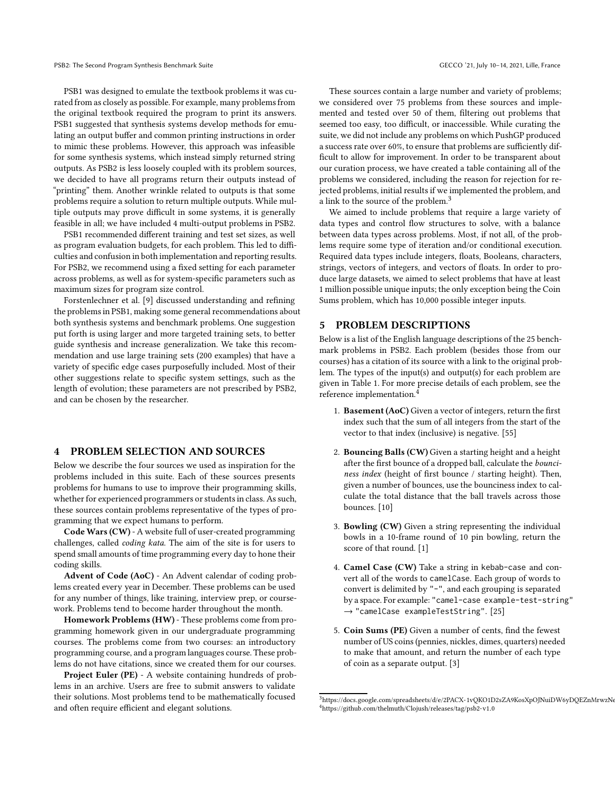PSB1 was designed to emulate the textbook problems it was curated from as closely as possible. For example, many problems from the original textbook required the program to print its answers. PSB1 suggested that synthesis systems develop methods for emulating an output buffer and common printing instructions in order to mimic these problems. However, this approach was infeasible for some synthesis systems, which instead simply returned string outputs. As PSB2 is less loosely coupled with its problem sources, we decided to have all programs return their outputs instead of "printing" them. Another wrinkle related to outputs is that some problems require a solution to return multiple outputs. While multiple outputs may prove difficult in some systems, it is generally feasible in all; we have included 4 multi-output problems in PSB2.

PSB1 recommended different training and test set sizes, as well as program evaluation budgets, for each problem. This led to difficulties and confusion in both implementation and reporting results. For PSB2, we recommend using a fixed setting for each parameter across problems, as well as for system-specific parameters such as maximum sizes for program size control.

Forstenlechner et al. [\[9\]](#page-8-10) discussed understanding and refining the problems in PSB1, making some general recommendations about both synthesis systems and benchmark problems. One suggestion put forth is using larger and more targeted training sets, to better guide synthesis and increase generalization. We take this recommendation and use large training sets (200 examples) that have a variety of specific edge cases purposefully included. Most of their other suggestions relate to specific system settings, such as the length of evolution; these parameters are not prescribed by PSB2, and can be chosen by the researcher.

#### <span id="page-2-0"></span>4 PROBLEM SELECTION AND SOURCES

Below we describe the four sources we used as inspiration for the problems included in this suite. Each of these sources presents problems for humans to use to improve their programming skills, whether for experienced programmers or students in class. As such, these sources contain problems representative of the types of programming that we expect humans to perform.

Code Wars (CW) - A website full of user-created programming challenges, called coding kata. The aim of the site is for users to spend small amounts of time programming every day to hone their coding skills.

Advent of Code (AoC) - An Advent calendar of coding problems created every year in December. These problems can be used for any number of things, like training, interview prep, or coursework. Problems tend to become harder throughout the month.

Homework Problems (HW) - These problems come from programming homework given in our undergraduate programming courses. The problems come from two courses: an introductory programming course, and a program languages course. These problems do not have citations, since we created them for our courses.

Project Euler (PE) - A website containing hundreds of problems in an archive. Users are free to submit answers to validate their solutions. Most problems tend to be mathematically focused and often require efficient and elegant solutions.

These sources contain a large number and variety of problems; we considered over 75 problems from these sources and implemented and tested over 50 of them, filtering out problems that seemed too easy, too difficult, or inaccessible. While curating the suite, we did not include any problems on which PushGP produced a success rate over 60%, to ensure that problems are sufficiently difficult to allow for improvement. In order to be transparent about our curation process, we have created a table containing all of the problems we considered, including the reason for rejection for rejected problems, initial results if we implemented the problem, and a link to the source of the problem.<sup>[3](#page-2-2)</sup>

We aimed to include problems that require a large variety of data types and control flow structures to solve, with a balance between data types across problems. Most, if not all, of the problems require some type of iteration and/or conditional execution. Required data types include integers, floats, Booleans, characters, strings, vectors of integers, and vectors of floats. In order to produce large datasets, we aimed to select problems that have at least 1 million possible unique inputs; the only exception being the Coin Sums problem, which has 10,000 possible integer inputs.

# <span id="page-2-1"></span>5 PROBLEM DESCRIPTIONS

Below is a list of the English language descriptions of the 25 benchmark problems in PSB2. Each problem (besides those from our courses) has a citation of its source with a link to the original problem. The types of the input(s) and output(s) for each problem are given in Table [1.](#page-3-0) For more precise details of each problem, see the reference implementation.<sup>[4](#page-2-3)</sup>

- 1. Basement (AoC) Given a vector of integers, return the first index such that the sum of all integers from the start of the vector to that index (inclusive) is negative. [\[55](#page-9-9)]
- 2. Bouncing Balls (CW) Given a starting height and a height after the first bounce of a dropped ball, calculate the bounciness index (height of first bounce / starting height). Then, given a number of bounces, use the bounciness index to calculate the total distance that the ball travels across those bounces. [\[10](#page-8-19)]
- 3. Bowling (CW) Given a string representing the individual bowls in a 10-frame round of 10 pin bowling, return the score of that round. [\[1\]](#page-8-20)
- 4. Camel Case (CW) Take a string in kebab-case and convert all of the words to camelCase. Each group of words to convert is delimited by "-", and each grouping is separated by a space. For example: "camel-case example-test-string"  $\rightarrow$  "camelCase exampleTestString". [\[25\]](#page-8-21)
- 5. Coin Sums (PE) Given a number of cents, find the fewest number of US coins (pennies, nickles, dimes, quarters) needed to make that amount, and return the number of each type of coin as a separate output. [\[3\]](#page-8-22)

<span id="page-2-3"></span><span id="page-2-2"></span><sup>3</sup>https://docs.google.com/spreadsheets/d/e/2PACX-1vQKO1D2sZA9KosXpOJNuiDW6yDQEZnMrwzNe <sup>4</sup>https://github.[com/thelmuth/Clojush/releases/tag/psb2-v1](https://github.com/thelmuth/Clojush/releases/tag/psb2-v1.0).0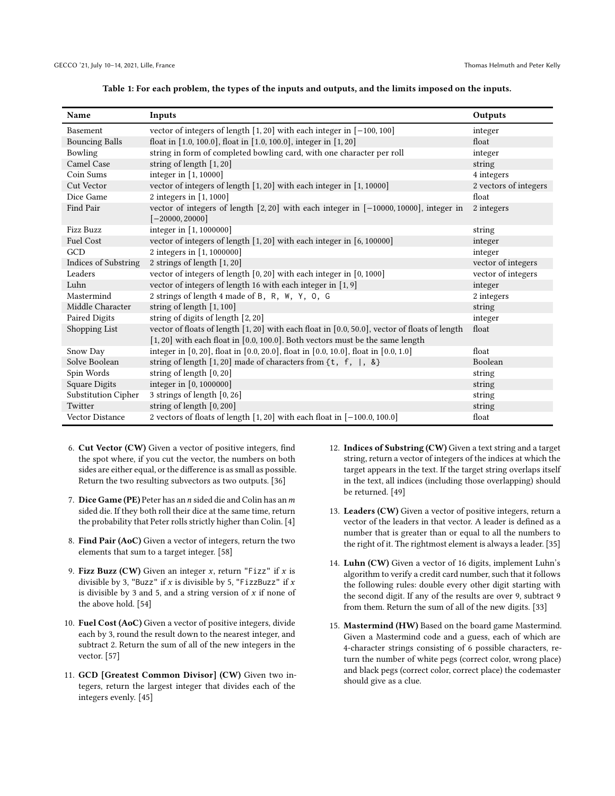<span id="page-3-0"></span>

| Name                  | Inputs                                                                                        | Outputs               |
|-----------------------|-----------------------------------------------------------------------------------------------|-----------------------|
| Basement              | vector of integers of length $[1, 20]$ with each integer in $[-100, 100]$                     | integer               |
| <b>Bouncing Balls</b> | float in [1.0, 100.0], float in [1.0, 100.0], integer in [1, 20]                              | float                 |
| Bowling               | string in form of completed bowling card, with one character per roll                         | integer               |
| Camel Case            | string of length [1,20]                                                                       | string                |
| Coin Sums             | integer in [1, 10000]                                                                         | 4 integers            |
| Cut Vector            | vector of integers of length [1, 20] with each integer in [1, 10000]                          | 2 vectors of integers |
| Dice Game             | 2 integers in $[1, 1000]$                                                                     | float                 |
| Find Pair             | vector of integers of length $[2, 20]$ with each integer in $[-10000, 10000]$ , integer in    | 2 integers            |
|                       | $[-20000, 20000]$                                                                             |                       |
| Fizz Buzz             | integer in [1, 1000000]                                                                       | string                |
| <b>Fuel Cost</b>      | vector of integers of length [1, 20] with each integer in [6, 100000]                         | integer               |
| GCD                   | 2 integers in [1, 1000000]                                                                    | integer               |
| Indices of Substring  | 2 strings of length [1, 20]                                                                   | vector of integers    |
| Leaders               | vector of integers of length [0, 20] with each integer in [0, 1000]                           | vector of integers    |
| Luhn                  | vector of integers of length 16 with each integer in [1,9]                                    | integer               |
| Mastermind            | 2 strings of length 4 made of B, R, W, Y, O, G                                                | 2 integers            |
| Middle Character      | string of length [1, 100]                                                                     | string                |
| Paired Digits         | string of digits of length [2, 20]                                                            | integer               |
| Shopping List         | vector of floats of length [1, 20] with each float in [0.0, 50.0], vector of floats of length | float                 |
|                       | $[1, 20]$ with each float in $[0.0, 100.0]$ . Both vectors must be the same length            |                       |
| Snow Day              | integer in [0, 20], float in [0.0, 20.0], float in [0.0, 10.0], float in [0.0, 1.0]           | float                 |
| Solve Boolean         | string of length $[1, 20]$ made of characters from $\{t, f, \ldots, \&\}$                     | Boolean               |
| Spin Words            | string of length [0,20]                                                                       | string                |
| Square Digits         | integer in [0, 1000000]                                                                       | string                |
| Substitution Cipher   | 3 strings of length [0, 26]                                                                   | string                |
| Twitter               | string of length [0, 200]                                                                     | string                |
| Vector Distance       | 2 vectors of floats of length [1, 20] with each float in [-100.0, 100.0]                      | float                 |

Table 1: For each problem, the types of the inputs and outputs, and the limits imposed on the inputs.

- 6. Cut Vector (CW) Given a vector of positive integers, find the spot where, if you cut the vector, the numbers on both sides are either equal, or the difference is as small as possible. Return the two resulting subvectors as two outputs. [\[36\]](#page-8-23)
- 7. Dice Game (PE) Peter has an  $n$  sided die and Colin has an  $m$ sided die. If they both roll their dice at the same time, return the probability that Peter rolls strictly higher than Colin. [\[4\]](#page-8-24)
- 8. Find Pair (AoC) Given a vector of integers, return the two elements that sum to a target integer. [\[58\]](#page-9-10)
- 9. Fizz Buzz (CW) Given an integer  $x$ , return "Fizz" if  $x$  is divisible by 3, "Buzz" if  $x$  is divisible by 5, "FizzBuzz" if  $x$ is divisible by 3 and 5, and a string version of  $x$  if none of the above hold. [\[54\]](#page-9-11)
- 10. Fuel Cost (AoC) Given a vector of positive integers, divide each by 3, round the result down to the nearest integer, and subtract 2. Return the sum of all of the new integers in the vector. [\[57](#page-9-12)]
- 11. GCD [Greatest Common Divisor] (CW) Given two integers, return the largest integer that divides each of the integers evenly. [\[45](#page-9-13)]
- 12. Indices of Substring (CW) Given a text string and a target string, return a vector of integers of the indices at which the target appears in the text. If the target string overlaps itself in the text, all indices (including those overlapping) should be returned. [\[49\]](#page-9-14)
- 13. Leaders (CW) Given a vector of positive integers, return a vector of the leaders in that vector. A leader is defined as a number that is greater than or equal to all the numbers to the right of it. The rightmost element is always a leader. [\[35\]](#page-8-25)
- 14. Luhn (CW) Given a vector of 16 digits, implement Luhn's algorithm to verify a credit card number, such that it follows the following rules: double every other digit starting with the second digit. If any of the results are over 9, subtract 9 from them. Return the sum of all of the new digits. [\[33\]](#page-8-26)
- 15. Mastermind (HW) Based on the board game Mastermind. Given a Mastermind code and a guess, each of which are 4-character strings consisting of 6 possible characters, return the number of white pegs (correct color, wrong place) and black pegs (correct color, correct place) the codemaster should give as a clue.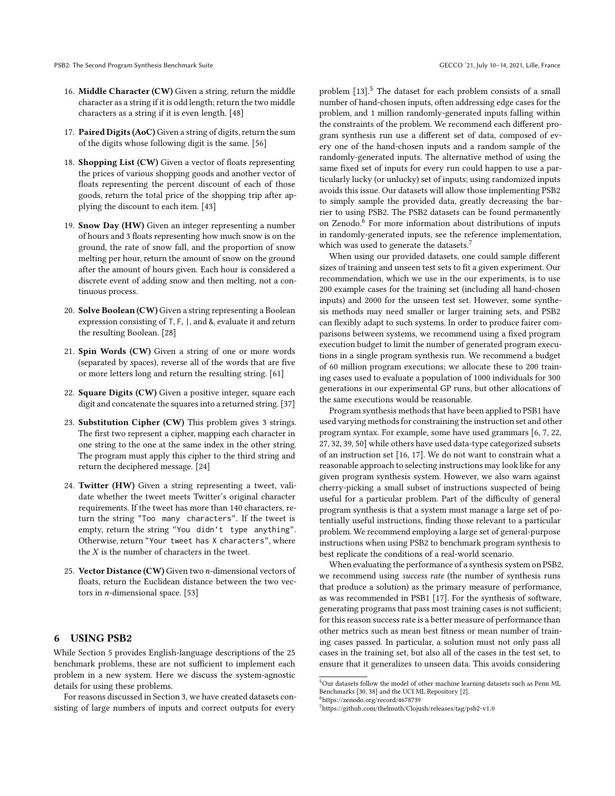- 16. Middle Character (CW) Given a string, return the middle character as a string if it is odd length; return the two middle characters as a string if it is even length. [\[48\]](#page-9-15)
- 17. Paired Digits (AoC) Given a string of digits, return the sum of the digits whose following digit is the same. [\[56\]](#page-9-16)
- 18. Shopping List (CW) Given a vector of floats representing the prices of various shopping goods and another vector of floats representing the percent discount of each of those goods, return the total price of the shopping trip after applying the discount to each item. [\[43](#page-9-17)]
- 19. Snow Day (HW) Given an integer representing a number of hours and 3 floats representing how much snow is on the ground, the rate of snow fall, and the proportion of snow melting per hour, return the amount of snow on the ground after the amount of hours given. Each hour is considered a discrete event of adding snow and then melting, not a continuous process.
- 20. Solve Boolean (CW) Given a string representing a Boolean expression consisting of T, F, |, and &, evaluate it and return the resulting Boolean. [\[28](#page-8-27)]
- 21. Spin Words (CW) Given a string of one or more words (separated by spaces), reverse all of the words that are five or more letters long and return the resulting string. [\[61\]](#page-9-18)
- 22. Square Digits (CW) Given a positive integer, square each digit and concatenate the squares into a returned string. [\[37\]](#page-8-28)
- 23. Substitution Cipher (CW) This problem gives 3 strings. The first two represent a cipher, mapping each character in one string to the one at the same index in the other string. The program must apply this cipher to the third string and return the deciphered message. [\[24](#page-8-29)]
- 24. Twitter (HW) Given a string representing a tweet, validate whether the tweet meets Twitter's original character requirements. If the tweet has more than 140 characters, return the string "Too many characters". If the tweet is empty, return the string "You didn't type anything". Otherwise, return "Your tweet has X characters", where the  $X$  is the number of characters in the tweet.
- 25. Vector Distance  $(CW)$  Given two *n*-dimensional vectors of floats, return the Euclidean distance between the two vectors in  $n$ -dimensional space. [\[53\]](#page-9-19)

## <span id="page-4-0"></span>6 USING PSB2

While Section [5](#page-2-1) provides English-language descriptions of the 25 benchmark problems, these are not sufficient to implement each problem in a new system. Here we discuss the system-agnostic details for using these problems.

For reasons discussed in Section [3,](#page-1-1) we have created datasets consisting of large numbers of inputs and correct outputs for every

problem [\[13\]](#page-8-30).<sup>[5](#page-4-1)</sup> The dataset for each problem consists of a small number of hand-chosen inputs, often addressing edge cases for the problem, and 1 million randomly-generated inputs falling within the constraints of the problem. We recommend each different program synthesis run use a different set of data, composed of every one of the hand-chosen inputs and a random sample of the randomly-generated inputs. The alternative method of using the same fixed set of inputs for every run could happen to use a particularly lucky (or unlucky) set of inputs; using randomized inputs avoids this issue. Our datasets will allow those implementing PSB2 to simply sample the provided data, greatly decreasing the barrier to using PSB2. The PSB2 datasets can be found permanently on Zenodo.[6](#page-4-2) For more information about distributions of inputs in randomly-generated inputs, see the reference implementation, which was used to generate the datasets.<sup>[7](#page-4-3)</sup>

When using our provided datasets, one could sample different sizes of training and unseen test sets to fit a given experiment. Our recommendation, which we use in the our experiments, is to use 200 example cases for the training set (including all hand-chosen inputs) and 2000 for the unseen test set. However, some synthesis methods may need smaller or larger training sets, and PSB2 can flexibly adapt to such systems. In order to produce fairer comparisons between systems, we recommend using a fixed program execution budget to limit the number of generated program executions in a single program synthesis run. We recommend a budget of 60 million program executions; we allocate these to 200 training cases used to evaluate a population of 1000 individuals for 300 generations in our experimental GP runs, but other allocations of the same executions would be reasonable.

Program synthesis methods that have been applied to PSB1 have used varying methods for constraining the instruction set and other program syntax. For example, some have used grammars [\[6](#page-8-1), [7,](#page-8-31) [22](#page-8-2), [27](#page-8-11), [32](#page-8-13), [39](#page-8-12), [50](#page-9-7)] while others have used data-type categorized subsets of an instruction set [\[16,](#page-8-8) [17](#page-8-0)]. We do not want to constrain what a reasonable approach to selecting instructions may look like for any given program synthesis system. However, we also warn against cherry-picking a small subset of instructions suspected of being useful for a particular problem. Part of the difficulty of general program synthesis is that a system must manage a large set of potentially useful instructions, finding those relevant to a particular problem. We recommend employing a large set of general-purpose instructions when using PSB2 to benchmark program synthesis to best replicate the conditions of a real-world scenario.

When evaluating the performance of a synthesis system on PSB2, we recommend using success rate (the number of synthesis runs that produce a solution) as the primary measure of performance, as was recommended in PSB1 [\[17](#page-8-0)]. For the synthesis of software, generating programs that pass most training cases is not sufficient; for this reason success rate is a better measure of performance than other metrics such as mean best fitness or mean number of training cases passed. In particular, a solution must not only pass all cases in the training set, but also all of the cases in the test set, to ensure that it generalizes to unseen data. This avoids considering

 $^5\rm{Our~ datasets}$  follow the model of other machine learning datasets such as Penn ML Benchmarks [\[30,](#page-8-32) [38\]](#page-8-33) and the UCI ML Repository [\[2\]](#page-8-34).

<span id="page-4-1"></span><sup>6</sup>https://zenodo.[org/record/4678739](https://zenodo.org/record/4678739)

<span id="page-4-3"></span><span id="page-4-2"></span><sup>7</sup>https://github.[com/thelmuth/Clojush/releases/tag/psb2-v1](https://github.com/thelmuth/Clojush/releases/tag/psb2-v1.0).0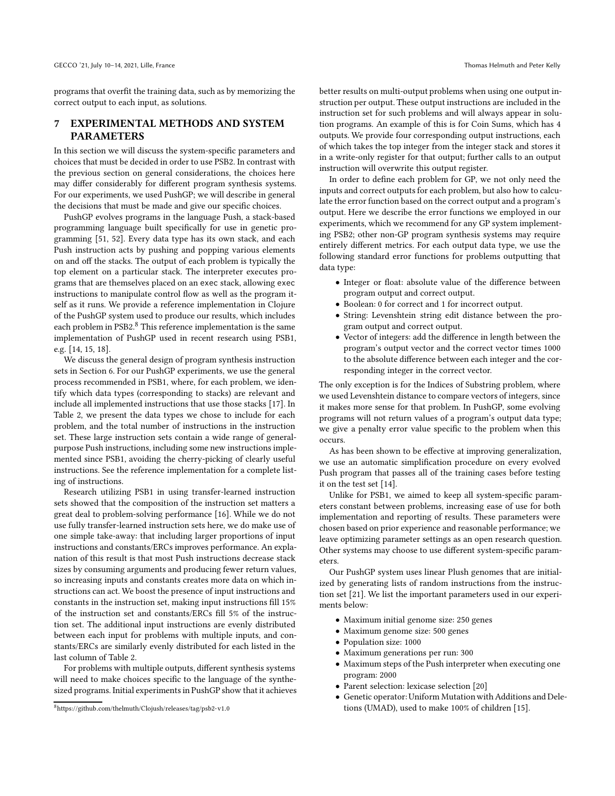programs that overfit the training data, such as by memorizing the correct output to each input, as solutions.

# <span id="page-5-0"></span>7 EXPERIMENTAL METHODS AND SYSTEM PARAMETERS

In this section we will discuss the system-specific parameters and choices that must be decided in order to use PSB2. In contrast with the previous section on general considerations, the choices here may differ considerably for different program synthesis systems. For our experiments, we used PushGP; we will describe in general the decisions that must be made and give our specific choices.

PushGP evolves programs in the language Push, a stack-based programming language built specifically for use in genetic programming [\[51](#page-9-20), [52\]](#page-9-21). Every data type has its own stack, and each Push instruction acts by pushing and popping various elements on and off the stacks. The output of each problem is typically the top element on a particular stack. The interpreter executes programs that are themselves placed on an exec stack, allowing exec instructions to manipulate control flow as well as the program itself as it runs. We provide a reference implementation in Clojure of the PushGP system used to produce our results, which includes each problem in PSB2.<sup>[8](#page-5-1)</sup> This reference implementation is the same implementation of PushGP used in recent research using PSB1, e.g. [\[14,](#page-8-7) [15,](#page-8-35) [18](#page-8-5)].

We discuss the general design of program synthesis instruction sets in Section [6.](#page-4-0) For our PushGP experiments, we use the general process recommended in PSB1, where, for each problem, we identify which data types (corresponding to stacks) are relevant and include all implemented instructions that use those stacks [\[17](#page-8-0)]. In Table [2,](#page-6-1) we present the data types we chose to include for each problem, and the total number of instructions in the instruction set. These large instruction sets contain a wide range of generalpurpose Push instructions, including some new instructions implemented since PSB1, avoiding the cherry-picking of clearly useful instructions. See the reference implementation for a complete listing of instructions.

Research utilizing PSB1 in using transfer-learned instruction sets showed that the composition of the instruction set matters a great deal to problem-solving performance [\[16](#page-8-8)]. While we do not use fully transfer-learned instruction sets here, we do make use of one simple take-away: that including larger proportions of input instructions and constants/ERCs improves performance. An explanation of this result is that most Push instructions decrease stack sizes by consuming arguments and producing fewer return values, so increasing inputs and constants creates more data on which instructions can act. We boost the presence of input instructions and constants in the instruction set, making input instructions fill 15% of the instruction set and constants/ERCs fill 5% of the instruction set. The additional input instructions are evenly distributed between each input for problems with multiple inputs, and constants/ERCs are similarly evenly distributed for each listed in the last column of Table [2.](#page-6-1)

For problems with multiple outputs, different synthesis systems will need to make choices specific to the language of the synthesized programs. Initial experiments in PushGP show that it achieves better results on multi-output problems when using one output instruction per output. These output instructions are included in the instruction set for such problems and will always appear in solution programs. An example of this is for Coin Sums, which has 4 outputs. We provide four corresponding output instructions, each of which takes the top integer from the integer stack and stores it in a write-only register for that output; further calls to an output instruction will overwrite this output register.

In order to define each problem for GP, we not only need the inputs and correct outputs for each problem, but also how to calculate the error function based on the correct output and a program's output. Here we describe the error functions we employed in our experiments, which we recommend for any GP system implementing PSB2; other non-GP program synthesis systems may require entirely different metrics. For each output data type, we use the following standard error functions for problems outputting that data type:

- Integer or float: absolute value of the difference between program output and correct output.
- Boolean: 0 for correct and 1 for incorrect output.
- String: Levenshtein string edit distance between the program output and correct output.
- Vector of integers: add the difference in length between the program's output vector and the correct vector times 1000 to the absolute difference between each integer and the corresponding integer in the correct vector.

The only exception is for the Indices of Substring problem, where we used Levenshtein distance to compare vectors of integers, since it makes more sense for that problem. In PushGP, some evolving programs will not return values of a program's output data type; we give a penalty error value specific to the problem when this occurs.

As has been shown to be effective at improving generalization, we use an automatic simplification procedure on every evolved Push program that passes all of the training cases before testing it on the test set [\[14\]](#page-8-7).

Unlike for PSB1, we aimed to keep all system-specific parameters constant between problems, increasing ease of use for both implementation and reporting of results. These parameters were chosen based on prior experience and reasonable performance; we leave optimizing parameter settings as an open research question. Other systems may choose to use different system-specific parameters.

Our PushGP system uses linear Plush genomes that are initialized by generating lists of random instructions from the instruction set [\[21](#page-8-9)]. We list the important parameters used in our experiments below:

- Maximum initial genome size: 250 genes
- Maximum genome size: 500 genes
- Population size: 1000
- Maximum generations per run: 300
- Maximum steps of the Push interpreter when executing one program: 2000
- Parent selection: lexicase selection [\[20](#page-8-36)]
- Genetic operator: Uniform Mutation with Additions and Deletions (UMAD), used to make 100% of children [\[15\]](#page-8-35).

<span id="page-5-1"></span><sup>8</sup>https://github.[com/thelmuth/Clojush/releases/tag/psb2-v1](https://github.com/thelmuth/Clojush/releases/tag/psb2-v1.0).0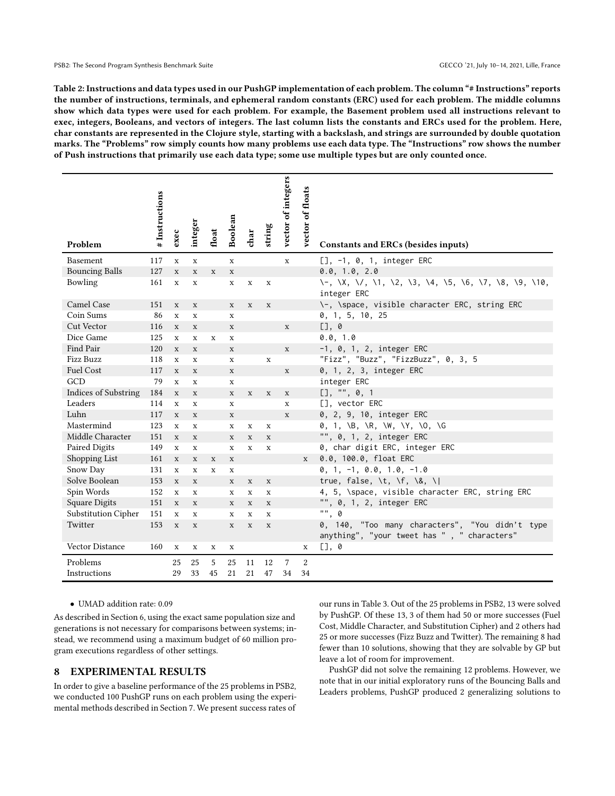#### <span id="page-6-1"></span>PSB2: The Second Program Synthesis Benchmark Suite GECCO '21, July 10-14, 2021, Lille, France

Table 2: Instructions and data types used in our PushGP implementation of each problem. The column "# Instructions" reports the number of instructions, terminals, and ephemeral random constants (ERC) used for each problem. The middle columns show which data types were used for each problem. For example, the Basement problem used all instructions relevant to exec, integers, Booleans, and vectors of integers. The last column lists the constants and ERCs used for the problem. Here, char constants are represented in the Clojure style, starting with a backslash, and strings are surrounded by double quotation marks. The "Problems" row simply counts how many problems use each data type. The "Instructions" row shows the number of Push instructions that primarily use each data type; some use multiple types but are only counted once.

|                             | #Instructions | exec        | integer     | float       | Boolean      | char        | string      | vector of integers | vector of floats |                                                                                                |
|-----------------------------|---------------|-------------|-------------|-------------|--------------|-------------|-------------|--------------------|------------------|------------------------------------------------------------------------------------------------|
| Problem                     |               |             |             |             |              |             |             |                    |                  | Constants and ERCs (besides inputs)                                                            |
| <b>Basement</b>             | 117           | X           | X           |             | $\mathbf x$  |             |             | $\mathbf x$        |                  | $[ ] , -1 , 0 , 1 ,$ integer ERC                                                               |
| <b>Bouncing Balls</b>       | 127           | $\mathbf x$ | X           | $\mathbf x$ | X            |             |             |                    |                  | 0.0, 1.0, 2.0                                                                                  |
| Bowling                     | 161           | $\mathbf x$ | $\mathbf X$ |             | $\mathbf x$  | $\mathbf x$ | $\mathbf X$ |                    |                  | integer ERC                                                                                    |
| Camel Case                  | 151           | $\mathbf x$ | $\mathbf x$ |             | $\mathbf x$  | $\mathbf x$ | $\mathbf x$ |                    |                  | \-, \space, visible character ERC, string ERC                                                  |
| Coin Sums                   | 86            | $\mathbf x$ | $\mathbf x$ |             | $\mathbf x$  |             |             |                    |                  | 0, 1, 5, 10, 25                                                                                |
| Cut Vector                  | 116           | $\mathbf x$ | $\mathbf x$ |             | $\mathbf x$  |             |             | $\mathbf x$        |                  | [1, 0]                                                                                         |
| Dice Game                   | 125           | $\mathbf x$ | $\mathbf X$ | $\mathbf x$ | X            |             |             |                    |                  | 0.0, 1.0                                                                                       |
| Find Pair                   | 120           | $\mathbf x$ | $\mathbf x$ |             | $\mathbf{x}$ |             |             | $\mathbf x$        |                  | $-1$ , 0, 1, 2, integer ERC                                                                    |
| Fizz Buzz                   | 118           | $\mathbf x$ | $\mathbf X$ |             | $\mathbf x$  |             | $\mathbf x$ |                    |                  | "Fizz", "Buzz", "FizzBuzz", 0, 3, 5                                                            |
| <b>Fuel Cost</b>            | 117           | $\mathbf x$ | $\mathbf x$ |             | $\mathbf x$  |             |             | $\mathbf x$        |                  | 0, 1, 2, 3, integer ERC                                                                        |
| GCD                         | 79            | $\mathbf x$ | $\mathbf x$ |             | $\mathbf x$  |             |             |                    |                  | integer ERC                                                                                    |
| <b>Indices of Substring</b> | 184           | $\mathbf x$ | $\mathbf x$ |             | $\mathbf x$  | X           | $\mathbf x$ | X                  |                  | [1, "", 0, 1]                                                                                  |
| Leaders                     | 114           | X           | $\mathbf x$ |             | $\mathbf x$  |             |             | X                  |                  | [], vector ERC                                                                                 |
| Luhn                        | 117           | $\mathbf x$ | X           |             | $\mathbf x$  |             |             | X                  |                  | 0, 2, 9, 10, integer ERC                                                                       |
| Mastermind                  | 123           | $\mathbf x$ | $\mathbf x$ |             | $\mathbf x$  | $\mathbf x$ | $\mathbf x$ |                    |                  | 0, 1, \B, \R, \W, \Y, \O, \G                                                                   |
| Middle Character            | 151           | $\mathbf x$ | $\mathbf x$ |             | $\mathbf x$  | $\mathbf x$ | $\mathbf X$ |                    |                  | "", 0, 1, 2, integer ERC                                                                       |
| Paired Digits               | 149           | $\mathbf x$ | $\mathbf X$ |             | $\mathbf x$  | $\mathbf X$ | $\mathbf X$ |                    |                  | 0, char digit ERC, integer ERC                                                                 |
| Shopping List               | 161           | $\mathbf X$ | $\mathbf x$ | $\mathbf x$ | $\mathbf x$  |             |             |                    | $\mathbf{x}$     | 0.0, 100.0, float ERC                                                                          |
| Snow Day                    | 131           | X           | X           | $\mathbf x$ | X            |             |             |                    |                  | $0, 1, -1, 0.0, 1.0, -1.0$                                                                     |
| Solve Boolean               | 153           | $\mathbf x$ | $\mathbf x$ |             | $\mathbf x$  | X           | $\mathbf x$ |                    |                  | true, false, $\setminus t$ , $\setminus f$ , $\setminus 8$ , $\setminus$                       |
| Spin Words                  | 152           | $\mathbf x$ | X           |             | X            | $\mathbf x$ | X           |                    |                  | 4, 5, \space, visible character ERC, string ERC                                                |
| <b>Square Digits</b>        | 151           | $\mathbf x$ | $\mathbf x$ |             | $\mathbf x$  | $\mathbf x$ | X           |                    |                  | "", $0$ , 1, 2, integer ERC                                                                    |
| Substitution Cipher         | 151           | $\mathbf x$ | $\mathbf x$ |             | $\mathbf X$  | $\mathbf x$ | $\mathbf x$ |                    |                  | $^{\cdots}$ , 0                                                                                |
| Twitter                     | 153           | $\mathbf X$ | $\mathbf X$ |             | $\mathbf x$  | $\mathbf x$ | $\mathbf x$ |                    |                  | 0, 140, "Too many characters", "You didn't type<br>anything", "your tweet has ", " characters" |
| Vector Distance             | 160           | X           | $\mathbf x$ | $\mathbf x$ | $\mathbf x$  |             |             |                    | x                | [1, 0]                                                                                         |
| Problems                    |               | 25          | 25          | 5           | 25           | 11          | 12          | 7                  | 2                |                                                                                                |
| Instructions                |               | 29          | 33          | 45          | 21           | 21          | 47          | 34                 | 34               |                                                                                                |

• UMAD addition rate: 0.09

As described in Section [6,](#page-4-0) using the exact same population size and generations is not necessary for comparisons between systems; instead, we recommend using a maximum budget of 60 million program executions regardless of other settings.

# <span id="page-6-0"></span>8 EXPERIMENTAL RESULTS

In order to give a baseline performance of the 25 problems in PSB2, we conducted 100 PushGP runs on each problem using the experimental methods described in Section [7.](#page-5-0) We present success rates of

our runs in Table [3.](#page-7-0) Out of the 25 problems in PSB2, 13 were solved by PushGP. Of these 13, 3 of them had 50 or more successes (Fuel Cost, Middle Character, and Substitution Cipher) and 2 others had 25 or more successes (Fizz Buzz and Twitter). The remaining 8 had fewer than 10 solutions, showing that they are solvable by GP but leave a lot of room for improvement.

PushGP did not solve the remaining 12 problems. However, we note that in our initial exploratory runs of the Bouncing Balls and Leaders problems, PushGP produced 2 generalizing solutions to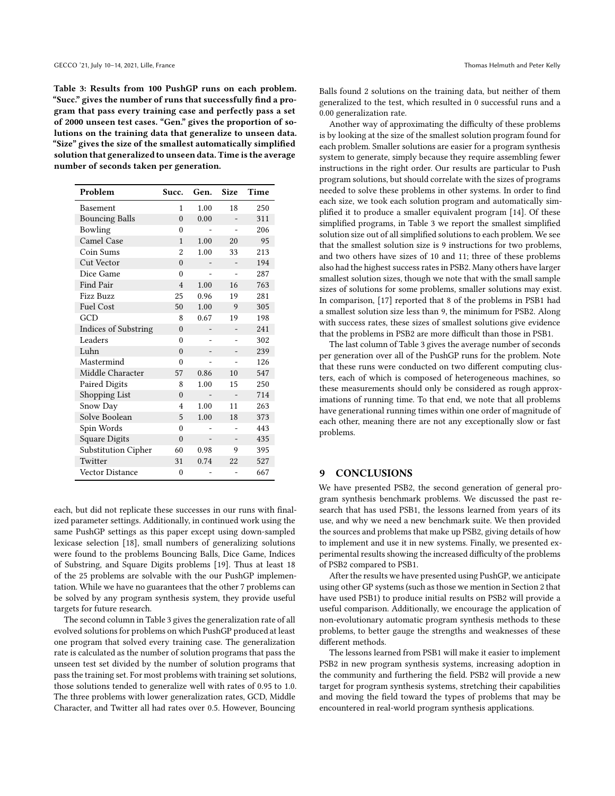<span id="page-7-0"></span>Table 3: Results from 100 PushGP runs on each problem. "Succ." gives the number of runs that successfully find a program that pass every training case and perfectly pass a set of 2000 unseen test cases. "Gen." gives the proportion of solutions on the training data that generalize to unseen data. "Size" gives the size of the smallest automatically simplified solution that generalized to unseen data. Time is the average number of seconds taken per generation.

| Problem                     | Succ.          | Gen. | <b>Size</b> | Time |
|-----------------------------|----------------|------|-------------|------|
| <b>Basement</b>             | 1              | 1.00 | 18          | 250  |
| <b>Bouncing Balls</b>       | $\theta$       | 0.00 |             | 311  |
| Bowling                     | $\theta$       |      |             | 206  |
| Camel Case                  | $\mathbf{1}$   | 1.00 | 20          | 95   |
| Coin Sums                   | $\overline{2}$ | 1.00 | 33          | 213  |
| Cut Vector                  | $\theta$       |      |             | 194  |
| Dice Game                   | $\Omega$       |      |             | 287  |
| Find Pair                   | $\overline{4}$ | 1.00 | 16          | 763  |
| Fizz Buzz                   | 25             | 0.96 | 19          | 281  |
| <b>Fuel Cost</b>            | 50             | 1.00 | 9           | 305  |
| GCD                         | 8              | 0.67 | 19          | 198  |
| <b>Indices of Substring</b> | $\theta$       |      |             | 241  |
| Leaders                     | $\theta$       |      |             | 302  |
| Luhn                        | $\theta$       | -    |             | 239  |
| Mastermind                  | $\theta$       |      |             | 126  |
| Middle Character            | 57             | 0.86 | 10          | 547  |
| Paired Digits               | 8              | 1.00 | 15          | 250  |
| Shopping List               | $\theta$       |      |             | 714  |
| Snow Day                    | $\overline{4}$ | 1.00 | 11          | 263  |
| Solve Boolean               | 5              | 1.00 | 18          | 373  |
| Spin Words                  | $\theta$       |      |             | 443  |
| Square Digits               | $\theta$       |      |             | 435  |
| Substitution Cipher         | 60             | 0.98 | 9           | 395  |
| Twitter                     | 31             | 0.74 | 22          | 527  |
| Vector Distance             | $\theta$       |      |             | 667  |

each, but did not replicate these successes in our runs with finalized parameter settings. Additionally, in continued work using the same PushGP settings as this paper except using down-sampled lexicase selection [\[18\]](#page-8-5), small numbers of generalizing solutions were found to the problems Bouncing Balls, Dice Game, Indices of Substring, and Square Digits problems [\[19\]](#page-8-37). Thus at least 18 of the 25 problems are solvable with the our PushGP implementation. While we have no guarantees that the other 7 problems can be solved by any program synthesis system, they provide useful targets for future research.

The second column in Table [3](#page-7-0) gives the generalization rate of all evolved solutions for problems on which PushGP produced at least one program that solved every training case. The generalization rate is calculated as the number of solution programs that pass the unseen test set divided by the number of solution programs that pass the training set. For most problems with training set solutions, those solutions tended to generalize well with rates of 0.95 to 1.0. The three problems with lower generalization rates, GCD, Middle Character, and Twitter all had rates over 0.5. However, Bouncing

Balls found 2 solutions on the training data, but neither of them generalized to the test, which resulted in 0 successful runs and a 0.00 generalization rate.

Another way of approximating the difficulty of these problems is by looking at the size of the smallest solution program found for each problem. Smaller solutions are easier for a program synthesis system to generate, simply because they require assembling fewer instructions in the right order. Our results are particular to Push program solutions, but should correlate with the sizes of programs needed to solve these problems in other systems. In order to find each size, we took each solution program and automatically simplified it to produce a smaller equivalent program [\[14\]](#page-8-7). Of these simplified programs, in Table [3](#page-7-0) we report the smallest simplified solution size out of all simplified solutions to each problem. We see that the smallest solution size is 9 instructions for two problems, and two others have sizes of 10 and 11; three of these problems also had the highest success rates in PSB2. Many others have larger smallest solution sizes, though we note that with the small sample sizes of solutions for some problems, smaller solutions may exist. In comparison, [\[17\]](#page-8-0) reported that 8 of the problems in PSB1 had a smallest solution size less than 9, the minimum for PSB2. Along with success rates, these sizes of smallest solutions give evidence that the problems in PSB2 are more difficult than those in PSB1.

The last column of Table [3](#page-7-0) gives the average number of seconds per generation over all of the PushGP runs for the problem. Note that these runs were conducted on two different computing clusters, each of which is composed of heterogeneous machines, so these measurements should only be considered as rough approximations of running time. To that end, we note that all problems have generational running times within one order of magnitude of each other, meaning there are not any exceptionally slow or fast problems.

### 9 CONCLUSIONS

We have presented PSB2, the second generation of general program synthesis benchmark problems. We discussed the past research that has used PSB1, the lessons learned from years of its use, and why we need a new benchmark suite. We then provided the sources and problems that make up PSB2, giving details of how to implement and use it in new systems. Finally, we presented experimental results showing the increased difficulty of the problems of PSB2 compared to PSB1.

After the results we have presented using PushGP, we anticipate using other GP systems (such as those we mention in Section [2](#page-1-0) that have used PSB1) to produce initial results on PSB2 will provide a useful comparison. Additionally, we encourage the application of non-evolutionary automatic program synthesis methods to these problems, to better gauge the strengths and weaknesses of these different methods.

The lessons learned from PSB1 will make it easier to implement PSB2 in new program synthesis systems, increasing adoption in the community and furthering the field. PSB2 will provide a new target for program synthesis systems, stretching their capabilities and moving the field toward the types of problems that may be encountered in real-world program synthesis applications.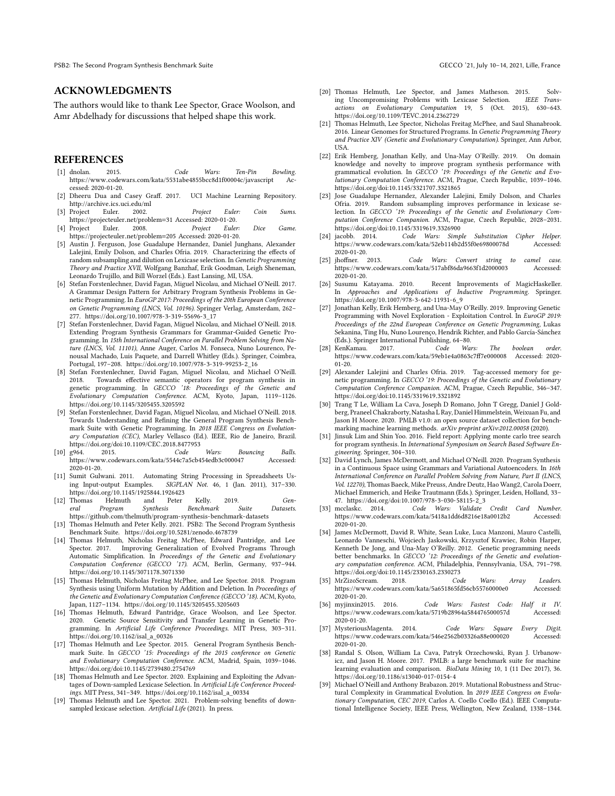PSB2: The Second Program Synthesis Benchmark Suite GECCO '21, July 10-14, 2021, Lille, France

## ACKNOWLEDGMENTS

The authors would like to thank Lee Spector, Grace Woolson, and Amr Abdelhady for discussions that helped shape this work.

# **REFERENCES**

- <span id="page-8-20"></span>[1] dnolan. 2015. Code Wars: Ten-Pin Bowling.<br>https://www.codewars.com/kata/5531abe4855bcc8d1f00004c/iavascript Achttps://www.codewars.[com/kata/5531abe4855bcc8d1f00004c/javascript](https://www.codewars.com/kata/5531abe4855bcc8d1f00004c/javascript) cessed: 2020-01-20.
- <span id="page-8-34"></span>[2] Dheeru Dua and Casey Graff. 2017. UCI Machine Learning Repository. [http://archive](http://archive.ics.uci.edu/ml).ics.uci.edu/ml
- <span id="page-8-22"></span>[3] Project Euler. 2002. Project Euler: Coin Sums. [https://projecteuler](https://projecteuler.net/problem=31).net/problem=31 Accessed: 2020-01-20.
- <span id="page-8-24"></span>[4] Project Euler. 2008. Project Euler: Dice Game. [https://projecteuler](https://projecteuler.net/problem=205).net/problem=205 Accessed: 2020-01-20.
- <span id="page-8-14"></span>[5] Austin J. Ferguson, Jose Guadalupe Hernandez, Daniel Junghans, Alexander Lalejini, Emily Dolson, and Charles Ofria. 2019. Characterizing the effects of random subsampling and dilution on Lexicase selection. In Genetic Programming Theory and Practice XVII, Wolfgang Banzhaf, Erik Goodman, Leigh Sheneman, Leonardo Trujillo, and Bill Worzel (Eds.). East Lansing, MI, USA.
- <span id="page-8-1"></span>[6] Stefan Forstenlechner, David Fagan, Miguel Nicolau, and Michael O'Neill. 2017. A Grammar Design Pattern for Arbitrary Program Synthesis Problems in Genetic Programming. In EuroGP 2017: Proceedings of the 20th European Conference on Genetic Programming (LNCS, Vol. 10196). Springer Verlag, Amsterdam, 262– 277. https://doi.org/10.[1007/978-3-319-55696-3\\_17](https://doi.org/10.1007/978-3-319-55696-3_17)
- <span id="page-8-31"></span>[7] Stefan Forstenlechner, David Fagan, Miguel Nicolau, and Michael O'Neill, 2018. Extending Program Synthesis Grammars for Grammar-Guided Genetic Programming. In 15th International Conference on Parallel Problem Solving from Nature (LNCS, Vol. 11101), Anne Auger, Carlos M. Fonseca, Nuno Lourenco, Penousal Machado, Luis Paquete, and Darrell Whitley (Eds.). Springer, Coimbra, Portugal, 197–208. https://doi.org/10.[1007/978-3-319-99253-2\\_16](https://doi.org/10.1007/978-3-319-99253-2_16)
- [8] Stefan Forstenlechner, David Fagan, Miguel Nicolau, and Michael O'Neill. Towards effective semantic operators for program synthesis in genetic programming. In GECCO '18: Proceedings of the Genetic and Evolutionary Computation Conference. ACM, Kyoto, Japan, 1119–1126. https://doi.org/10.[1145/3205455](https://doi.org/10.1145/3205455.3205592).3205592
- <span id="page-8-10"></span>[9] Stefan Forstenlechner, David Fagan, Miguel Nicolau, and Michael O'Neill. 2018. Towards Understanding and Refining the General Program Synthesis Benchmark Suite with Genetic Programming. In 2018 IEEE Congress on Evolutionary Computation (CEC), Marley Vellasco (Ed.). IEEE, Rio de Janeiro, Brazil. [https://doi](https://doi.org/doi:10.1109/CEC.2018.8477953).org/doi:10.1109/CEC.2018.8477953
- <span id="page-8-19"></span>[10] g964. 2015. Code Wars: Bouncing Balls. https://www.codewars.[com/kata/5544c7a5cb454edb3c000047](https://www.codewars.com/kata/5544c7a5cb454edb3c000047) Accessed: 2020-01-20.
- <span id="page-8-16"></span>[11] Sumit Gulwani. 2011. Automating String Processing in Spreadsheets Us-SIGPLAN Not. 46, 1 (Jan. 2011), 317-330. https://doi.org/10.[1145/1925844](https://doi.org/10.1145/1925844.1926423).1926423<br>Thomas Helmuth and Peter
- <span id="page-8-18"></span>[12] Thomas Helmuth and Peter Kelly. 2019. General Program Synthesis Benchmark https://github.[com/thelmuth/program-synthesis-benchmark-datasets](https://github.com/thelmuth/program-synthesis-benchmark-datasets)
- <span id="page-8-30"></span>[13] Thomas Helmuth and Peter Kelly. 2021. PSB2: The Second Program Synthesis Benchmark Suite. https://doi.org/10.[5281/zenodo](https://doi.org/10.5281/zenodo.4678739).4678739
- <span id="page-8-7"></span>[14] Thomas Helmuth, Nicholas Freitag McPhee, Edward Pantridge, and Lee Spector. 2017. Improving Generalization of Evolved Programs Through Automatic Simplification. In Proceedings of the Genetic and Evolutionary Computation Conference (GECCO '17). ACM, Berlin, Germany, 937–944. https://doi.org/10.[1145/3071178](https://doi.org/10.1145/3071178.3071330).3071330
- <span id="page-8-35"></span>[15] Thomas Helmuth, Nicholas Freitag McPhee, and Lee Spector. 2018. Program Synthesis using Uniform Mutation by Addition and Deletion. In Proceedings of the Genetic and Evolutionary Computation Conference (GECCO '18). ACM, Kyoto, Japan, 1127–1134. https://doi.org/10.[1145/3205455](https://doi.org/10.1145/3205455.3205603).3205603
- <span id="page-8-8"></span>[16] Thomas Helmuth, Edward Pantridge, Grace Woolson, and Lee Spector. 2020. Genetic Source Sensitivity and Transfer Learning in Genetic Programming. In Artificial Life Conference Proceedings. MIT Press, 303–311. https://doi.org/10.[1162/isal\\_a\\_00326](https://doi.org/10.1162/isal_a_00326)
- <span id="page-8-0"></span>[17] Thomas Helmuth and Lee Spector. 2015. General Program Synthesis Benchmark Suite. In GECCO '15: Proceedings of the 2015 conference on Genetic and Evolutionary Computation Conference. ACM, Madrid, Spain, 1039–1046. https://doi.org/doi:10.[1145/2739480](https://doi.org/doi:10.1145/2739480.2754769).2754769
- <span id="page-8-5"></span>[18] Thomas Helmuth and Lee Spector. 2020. Explaining and Exploiting the Advantages of Down-sampled Lexicase Selection. In Artificial Life Conference Proceedings. MIT Press, 341–349. https://doi.org/10.[1162/isal\\_a\\_00334](https://doi.org/10.1162/isal_a_00334)
- <span id="page-8-37"></span>[19] Thomas Helmuth and Lee Spector. 2021. Problem-solving benefits of downsampled lexicase selection. Artificial Life (2021). In press.
- <span id="page-8-36"></span>[20] Thomas Helmuth, Lee Spector, and James Matheson. 2015. Solving Uncompromising Problems with Lexicase Selection. IEEE Transactions on Evolutionary Computation 19, 5 (Oct. 2015), 630–643. https://doi.org/10.[1109/TEVC](https://doi.org/10.1109/TEVC.2014.2362729).2014.2362729
- <span id="page-8-9"></span>[21] Thomas Helmuth, Lee Spector, Nicholas Freitag McPhee, and Saul Shanabrook. 2016. Linear Genomes for Structured Programs. In Genetic Programming Theory and Practice XIV (Genetic and Evolutionary Computation). Springer, Ann Arbor, USA.
- <span id="page-8-2"></span>[22] Erik Hemberg, Jonathan Kelly, and Una-May O'Reilly. 2019. On domain knowledge and novelty to improve program synthesis performance with grammatical evolution. In GECCO '19: Proceedings of the Genetic and Evolutionary Computation Conference. ACM, Prague, Czech Republic, 1039–1046. https://doi.org/doi:10.[1145/3321707](https://doi.org/doi:10.1145/3321707.3321865).3321865
- <span id="page-8-15"></span>[23] Jose Guadalupe Hernandez, Alexander Lalejini, Emily Dolson, and Charles Ofria. 2019. Random subsampling improves performance in lexicase selection. In GECCO '19: Proceedings of the Genetic and Evolutionary Computation Conference Companion. ACM, Prague, Czech Republic, 2028–2031. https://doi.org/doi:10.[1145/3319619](https://doi.org/doi:10.1145/3319619.3326900).3326900<br>[24] iacobb. 2014. Code Wars: Simp
- <span id="page-8-29"></span>Code Wars: Simple Substitution Cipher Helper. https://www.codewars.[com/kata/52eb114b2d55f0e69800078d](https://www.codewars.com/kata/52eb114b2d55f0e69800078d) Accessed: 2020-01-20.<br>ihoffner. 2013
- <span id="page-8-21"></span>[25] jhoffner. 2013. Code Wars: Convert string to camel case. https://www.codewars.[com/kata/517abf86da9663f1d2000003](https://www.codewars.com/kata/517abf86da9663f1d2000003) 2020-01-20.<br>[26] Susumu Katayama. 2010.
- <span id="page-8-17"></span>Recent Improvements of MagicHaskeller. In Approaches and Applications of Inductive Programming. Springer. https://doi.org/10.[1007/978-3-642-11931-6\\_9](https://doi.org/10.1007/978-3-642-11931-6_9)
- <span id="page-8-11"></span>[27] Jonathan Kelly, Erik Hemberg, and Una-May O'Reilly. 2019. Improving Genetic Programming with Novel Exploration - Exploitation Control. In EuroGP 2019: Proceedings of the 22nd European Conference on Genetic Programming, Lukas Sekanina, Ting Hu, Nuno Lourenço, Hendrik Richter, and Pablo García-Sánchez (Eds.). Springer International Publishing, 64–80.
- <span id="page-8-27"></span>[28] KenKamau. 2017. Code Wars: The boolean order. https://www.codewars.[com/kata/59eb1e4a0863c7ff7e000008](https://www.codewars.com/kata/59eb1e4a0863c7ff7e000008) Accessed: 2020- 01-20.
- <span id="page-8-3"></span>[29] Alexander Lalejini and Charles Ofria. 2019. Tag-accessed memory for genetic programming. In GECCO '19: Proceedings of the Genetic and Evolutionary Computation Conference Companion. ACM, Prague, Czech Republic, 346–347. https://doi.org/doi:10.[1145/3319619](https://doi.org/doi:10.1145/3319619.3321892).3321892
- <span id="page-8-32"></span>[30] Trang T Le, William La Cava, Joseph D Romano, John T Gregg, Daniel J Goldberg, Praneel Chakraborty,Natasha L Ray, Daniel Himmelstein, Weixuan Fu, and Jason H Moore. 2020. PMLB v1.0: an open source dataset collection for benchmarking machine learning methods. arXiv preprint arXiv:2012.00058 (2020).
- <span id="page-8-4"></span>[31] Jinsuk Lim and Shin Yoo. 2016. Field report: Applying monte carlo tree search for program synthesis. In International Symposium on Search Based Software Engineering. Springer, 304–310.
- <span id="page-8-13"></span>[32] David Lynch, James McDermott, and Michael O'Neill. 2020. Program Synthesis in a Continuous Space using Grammars and Variational Autoencoders. In 16th International Conference on Parallel Problem Solving from Nature, Part II (LNCS, Vol. 12270), Thomas Baeck, Mike Preuss, Andre Deutz, Hao Wang2, Carola Doerr, Michael Emmerich, and Heike Trautmann (Eds.). Springer, Leiden, Holland, 33– 47. https://doi.org/doi:10.[1007/978-3-030-58115-2\\_3](https://doi.org/doi:10.1007/978-3-030-58115-2_3)<br>[33] mcclaske. 2014. Code Wars: Validate
- <span id="page-8-26"></span>[33] mcclaskc. 2014. Code Wars: Validate Credit Card Number. https://www.codewars.[com/kata/5418a1dd6d8216e18a0012b2](https://www.codewars.com/kata/5418a1dd6d8216e18a0012b2) Accessed: 2020-01-20.
- <span id="page-8-6"></span>[34] James McDermott, David R. White, Sean Luke, Luca Manzoni, Mauro Castelli, Leonardo Vanneschi, Wojciech Jaskowski, Krzysztof Krawiec, Robin Harper, Kenneth De Jong, and Una-May O'Reilly. 2012. Genetic programming needs better benchmarks. In GECCO '12: Proceedings of the Genetic and evolutionary computation conference. ACM, Philadelphia, Pennsylvania, USA, 791–798. https://doi.org/doi:10.[1145/2330163](https://doi.org/doi:10.1145/2330163.2330273).2330273<br>MrZizoScream. 2018. Code
- <span id="page-8-25"></span>[35] MrZizoScream. 2018. Code Wars: Array Leaders. https://www.codewars.[com/kata/5a651865fd56cb55760000e0](https://www.codewars.com/kata/5a651865fd56cb55760000e0) Accessed: 2020-01-20.
- <span id="page-8-23"></span> $[36] \ \infty \label{eq:1} {\rm Myinxin2015.} \quad 2016. \qquad Code \ \nWars: \ \nFastest \ \nCode: \ \nHalf \ \ it \ \nIV. \ \n[https://www.codewars.com/kata/5719b28964a584476500057d} \quad \nAccessed: \ \n](https://www.codewars.com/kata/5719b28964a584476500057d)$  $\rm\, https://www.codewars.com/kata/5719b28964a584476500057d$  $\rm\, https://www.codewars.com/kata/5719b28964a584476500057d$ 2020-01-20.
- <span id="page-8-28"></span>[37] MysteriousMagenta. 2014. Code Wars: Square Every Digit. https://www.codewars.[com/kata/546e2562b03326a88e000020](https://www.codewars.com/kata/546e2562b03326a88e000020) Accessed: 2020-01-20.
- <span id="page-8-33"></span>[38] Randal S. Olson, William La Cava, Patryk Orzechowski, Ryan J. Urbanowicz, and Jason H. Moore. 2017. PMLB: a large benchmark suite for machine learning evaluation and comparison. BioData Mining 10, 1 (11 Dec 2017), 36. https://doi.org/10.[1186/s13040-017-0154-4](https://doi.org/10.1186/s13040-017-0154-4)
- <span id="page-8-12"></span>[39] Michael O'Neill and Anthony Brabazon. 2019. Mutational Robustness and Structural Complexity in Grammatical Evolution. In 2019 IEEE Congress on Evolutionary Computation, CEC 2019, Carlos A. Coello Coello (Ed.). IEEE Computational Intelligence Society, IEEE Press, Wellington, New Zealand, 1338–1344.